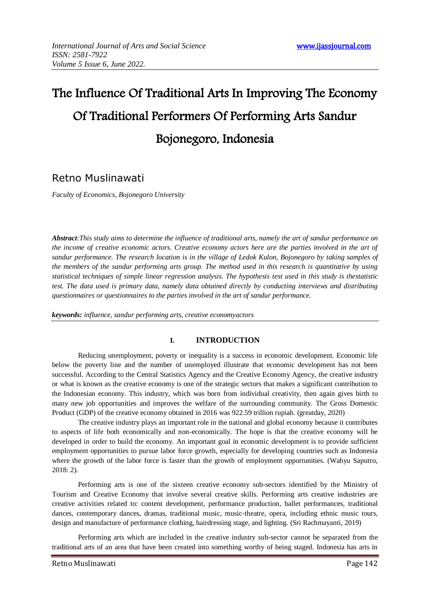# The Influence Of Traditional Arts In Improving The Economy Of Traditional Performers Of Performing Arts Sandur Bojonegoro, Indonesia

# Retno Muslinawati

*Faculty of Economics, Bojonegoro University* 

*Abstract:This study aims to determine the influence of traditional arts, namely the art of sandur performance on the income of creative economic actors. Creative economy actors here are the parties involved in the art of sandur performance. The research location is in the village of Ledok Kulon, Bojonegoro by taking samples of the members of the sandur performing arts group. The method used in this research is quantitative by using statistical techniques of simple linear regression analysis. The hypothesis test used in this study is thestatistic test. The data used is primary data, namely data obtained directly by conducting interviews and distributing questionnaires or questionnaires to the parties involved in the art of sandur performance.*

*keywords: influence, sandur performing arts, creative economyactors*

# **I. INTRODUCTION**

Reducing unemployment, poverty or inequality is a success in economic development. Economic life below the poverty line and the number of unemployed illustrate that economic development has not been successful. According to the Central Statistics Agency and the Creative Economy Agency, the creative industry or what is known as the creative economy is one of the strategic sectors that makes a significant contribution to the Indonesian economy. This industry, which was born from individual creativity, then again gives birth to many new job opportunities and improves the welfare of the surrounding community. The Gross Domestic Product (GDP) of the creative economy obtained in 2016 was 922.59 trillion rupiah. (greatday, 2020)

The creative industry plays an important role in the national and global economy because it contributes to aspects of life both economically and non-economically. The hope is that the creative economy will be developed in order to build the economy. An important goal in economic development is to provide sufficient employment opportunities to pursue labor force growth, especially for developing countries such as Indonesia where the growth of the labor force is faster than the growth of employment opportunities. (Wahyu Saputro, 2018: 2).

Performing arts is one of the sixteen creative economy sub-sectors identified by the Ministry of Tourism and Creative Economy that involve several creative skills. Performing arts creative industries are creative activities related to: content development, performance production, ballet performances, traditional dances, contemporary dances, dramas, traditional music, music-theatre, opera, including ethnic music tours, design and manufacture of performance clothing, hairdressing stage, and lighting. (Sri Rachmayanti, 2019)

Performing arts which are included in the creative industry sub-sector cannot be separated from the traditional arts of an area that have been created into something worthy of being staged. Indonesia has arts in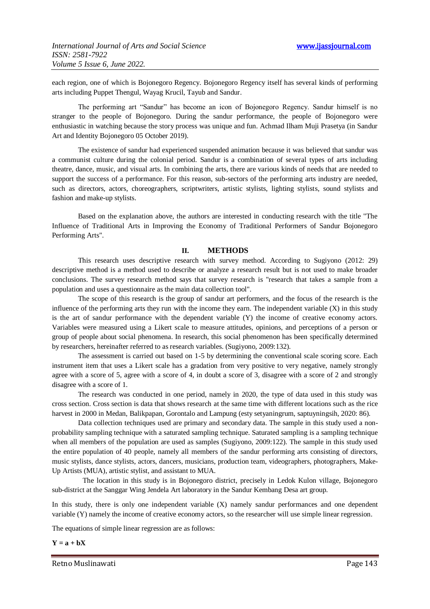each region, one of which is Bojonegoro Regency. Bojonegoro Regency itself has several kinds of performing arts including Puppet Thengul, Wayag Krucil, Tayub and Sandur.

The performing art "Sandur" has become an icon of Bojonegoro Regency. Sandur himself is no stranger to the people of Bojonegoro. During the sandur performance, the people of Bojonegoro were enthusiastic in watching because the story process was unique and fun. Achmad Ilham Muji Prasetya (in Sandur Art and Identity Bojonegoro 05 October 2019).

The existence of sandur had experienced suspended animation because it was believed that sandur was a communist culture during the colonial period. Sandur is a combination of several types of arts including theatre, dance, music, and visual arts. In combining the arts, there are various kinds of needs that are needed to support the success of a performance. For this reason, sub-sectors of the performing arts industry are needed, such as directors, actors, choreographers, scriptwriters, artistic stylists, lighting stylists, sound stylists and fashion and make-up stylists.

Based on the explanation above, the authors are interested in conducting research with the title "The Influence of Traditional Arts in Improving the Economy of Traditional Performers of Sandur Bojonegoro Performing Arts".

#### **II. METHODS**

This research uses descriptive research with survey method. According to Sugiyono (2012: 29) descriptive method is a method used to describe or analyze a research result but is not used to make broader conclusions. The survey research method says that survey research is "research that takes a sample from a population and uses a questionnaire as the main data collection tool".

The scope of this research is the group of sandur art performers, and the focus of the research is the influence of the performing arts they run with the income they earn. The independent variable (X) in this study is the art of sandur performance with the dependent variable (Y) the income of creative economy actors. Variables were measured using a Likert scale to measure attitudes, opinions, and perceptions of a person or group of people about social phenomena. In research, this social phenomenon has been specifically determined by researchers, hereinafter referred to as research variables. (Sugiyono, 2009:132).

The assessment is carried out based on 1-5 by determining the conventional scale scoring score. Each instrument item that uses a Likert scale has a gradation from very positive to very negative, namely strongly agree with a score of 5, agree with a score of 4, in doubt a score of 3, disagree with a score of 2 and strongly disagree with a score of 1.

The research was conducted in one period, namely in 2020, the type of data used in this study was cross section. Cross section is data that shows research at the same time with different locations such as the rice harvest in 2000 in Medan, Balikpapan, Gorontalo and Lampung (esty setyaningrum, saptuyningsih, 2020: 86).

Data collection techniques used are primary and secondary data. The sample in this study used a nonprobability sampling technique with a saturated sampling technique. Saturated sampling is a sampling technique when all members of the population are used as samples (Sugiyono, 2009:122). The sample in this study used the entire population of 40 people, namely all members of the sandur performing arts consisting of directors, music stylists, dance stylists, actors, dancers, musicians, production team, videographers, photographers, Make-Up Artists (MUA), artistic stylist, and assistant to MUA.

The location in this study is in Bojonegoro district, precisely in Ledok Kulon village, Bojonegoro sub-district at the Sanggar Wing Jendela Art laboratory in the Sandur Kembang Desa art group.

In this study, there is only one independent variable (X) namely sandur performances and one dependent variable (Y) namely the income of creative economy actors, so the researcher will use simple linear regression.

The equations of simple linear regression are as follows:

 $Y = a + bX$ 

Retno Muslinawati **Page 143**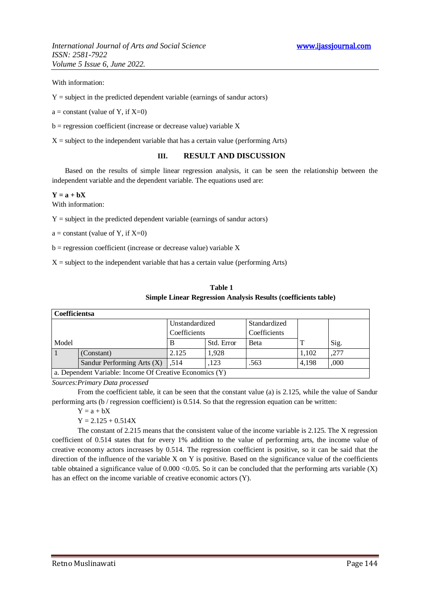*International Journal of Arts and Social Science* **www.ijassjournal.com** *ISSN: 2581-7922 Volume 5 Issue 6, June 2022.*

With information:

 $Y =$  subject in the predicted dependent variable (earnings of sandur actors)

 $a = constant (value of Y, if X=0)$ 

 $b =$  regression coefficient (increase or decrease value) variable X

 $X =$  subject to the independent variable that has a certain value (performing Arts)

## **III. RESULT AND DISCUSSION**

Based on the results of simple linear regression analysis, it can be seen the relationship between the independent variable and the dependent variable. The equations used are:

#### $Y = a + bX$

With information:

 $Y =$  subject in the predicted dependent variable (earnings of sandur actors)

 $a = constant (value of Y, if X=0)$ 

 $b =$  regression coefficient (increase or decrease value) variable X

 $X =$  subject to the independent variable that has a certain value (performing Arts)

| Table 1                                                        |  |  |
|----------------------------------------------------------------|--|--|
| Simple Linear Regression Analysis Results (coefficients table) |  |  |

| <b>Coefficientsa</b>                                    |                            |                |            |              |       |      |  |  |
|---------------------------------------------------------|----------------------------|----------------|------------|--------------|-------|------|--|--|
|                                                         |                            | Unstandardized |            | Standardized |       |      |  |  |
|                                                         |                            | Coefficients   |            | Coefficients |       |      |  |  |
| Model                                                   |                            |                | Std. Error | Beta         |       | Sig. |  |  |
|                                                         | (Constant)                 | 2.125          | 1.928      |              | 1,102 | .277 |  |  |
|                                                         | Sandur Performing Arts (X) | .514           | .123       | .563         | 4.198 | ,000 |  |  |
| a. Dependent Variable: Income Of Creative Economics (Y) |                            |                |            |              |       |      |  |  |

*Sources:Primary Data processed*

From the coefficient table, it can be seen that the constant value (a) is 2.125, while the value of Sandur performing arts (b / regression coefficient) is 0.514. So that the regression equation can be written:

 $Y = a + bX$ 

 $Y = 2.125 + 0.514X$ 

The constant of 2.215 means that the consistent value of the income variable is 2.125. The X regression coefficient of 0.514 states that for every 1% addition to the value of performing arts, the income value of creative economy actors increases by 0.514. The regression coefficient is positive, so it can be said that the direction of the influence of the variable  $X$  on  $Y$  is positive. Based on the significance value of the coefficients table obtained a significance value of  $0.000 < 0.05$ . So it can be concluded that the performing arts variable (X) has an effect on the income variable of creative economic actors (Y).